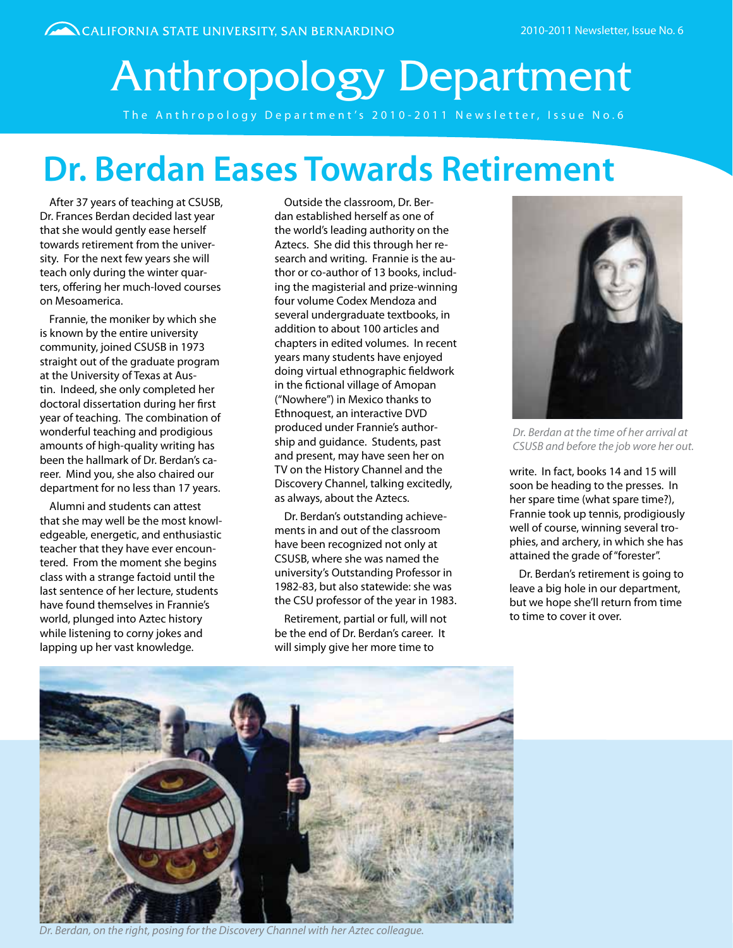# Anthropology Department

The Anthropology Department's 2010-2011 Newsletter, Issue No.6

### **Dr. Berdan Eases Towards Retirement**

After 37 years of teaching at CSUSB, Dr. Frances Berdan decided last year that she would gently ease herself towards retirement from the university. For the next few years she will teach only during the winter quarters, offering her much-loved courses on Mesoamerica.

Frannie, the moniker by which she is known by the entire university community, joined CSUSB in 1973 straight out of the graduate program at the University of Texas at Austin. Indeed, she only completed her doctoral dissertation during her first year of teaching. The combination of wonderful teaching and prodigious amounts of high-quality writing has been the hallmark of Dr. Berdan's career. Mind you, she also chaired our department for no less than 17 years.

Alumni and students can attest that she may well be the most knowledgeable, energetic, and enthusiastic teacher that they have ever encountered. From the moment she begins class with a strange factoid until the last sentence of her lecture, students have found themselves in Frannie's world, plunged into Aztec history while listening to corny jokes and lapping up her vast knowledge.

Outside the classroom, Dr. Berdan established herself as one of the world's leading authority on the Aztecs. She did this through her research and writing. Frannie is the author or co-author of 13 books, including the magisterial and prize-winning four volume Codex Mendoza and several undergraduate textbooks, in addition to about 100 articles and chapters in edited volumes. In recent years many students have enjoyed doing virtual ethnographic fieldwork in the fictional village of Amopan ("Nowhere") in Mexico thanks to Ethnoquest, an interactive DVD produced under Frannie's authorship and guidance. Students, past and present, may have seen her on TV on the History Channel and the Discovery Channel, talking excitedly, as always, about the Aztecs.

Dr. Berdan's outstanding achievements in and out of the classroom have been recognized not only at CSUSB, where she was named the university's Outstanding Professor in 1982-83, but also statewide: she was the CSU professor of the year in 1983.

Retirement, partial or full, will not be the end of Dr. Berdan's career. It will simply give her more time to



*Dr. Berdan at the time of her arrival at CSUSB and before the job wore her out.*

write. In fact, books 14 and 15 will soon be heading to the presses. In her spare time (what spare time?), Frannie took up tennis, prodigiously well of course, winning several trophies, and archery, in which she has attained the grade of "forester".

Dr. Berdan's retirement is going to leave a big hole in our department, but we hope she'll return from time to time to cover it over.



*Dr. Berdan, on the right, posing for the Discovery Channel with her Aztec colleague.*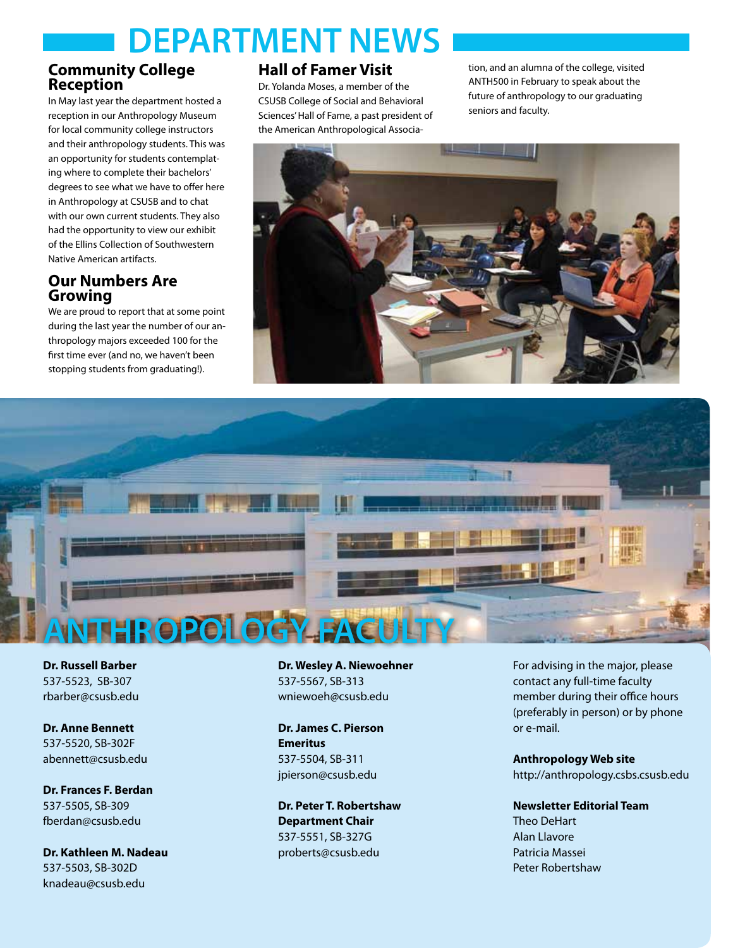## **DEPARTMENT NEWS**

### **Community College Reception**

In May last year the department hosted a reception in our Anthropology Museum for local community college instructors and their anthropology students. This was an opportunity for students contemplating where to complete their bachelors' degrees to see what we have to offer here in Anthropology at CSUSB and to chat with our own current students. They also had the opportunity to view our exhibit of the Ellins Collection of Southwestern Native American artifacts.

### **Our Numbers Are Growing**

We are proud to report that at some point during the last year the number of our anthropology majors exceeded 100 for the first time ever (and no, we haven't been stopping students from graduating!).

### **Hall of Famer Visit**

Dr. Yolanda Moses, a member of the CSUSB College of Social and Behavioral Sciences' Hall of Fame, a past president of the American Anthropological Association, and an alumna of the college, visited ANTH500 in February to speak about the future of anthropology to our graduating seniors and faculty.





**Dr. Russell Barber** 537-5523, SB-307 rbarber@csusb.edu

**Dr. Anne Bennett** 537-5520, SB-302F abennett@csusb.edu

**Dr. Frances F. Berdan** 537-5505, SB-309 fberdan@csusb.edu

**Dr. Kathleen M. Nadeau** 537-5503, SB-302D knadeau@csusb.edu

**Dr. Wesley A. Niewoehner** 537-5567, SB-313 wniewoeh@csusb.edu

**Dr. James C. Pierson Emeritus** 537-5504, SB-311 jpierson@csusb.edu

**Dr. Peter T. Robertshaw Department Chair** 537-5551, SB-327G proberts@csusb.edu

For advising in the major, please contact any full-time faculty member during their office hours (preferably in person) or by phone or e-mail.

**Anthropology Web site** http://anthropology.csbs.csusb.edu

**Newsletter Editorial Team** Theo DeHart Alan Llavore Patricia Massei Peter Robertshaw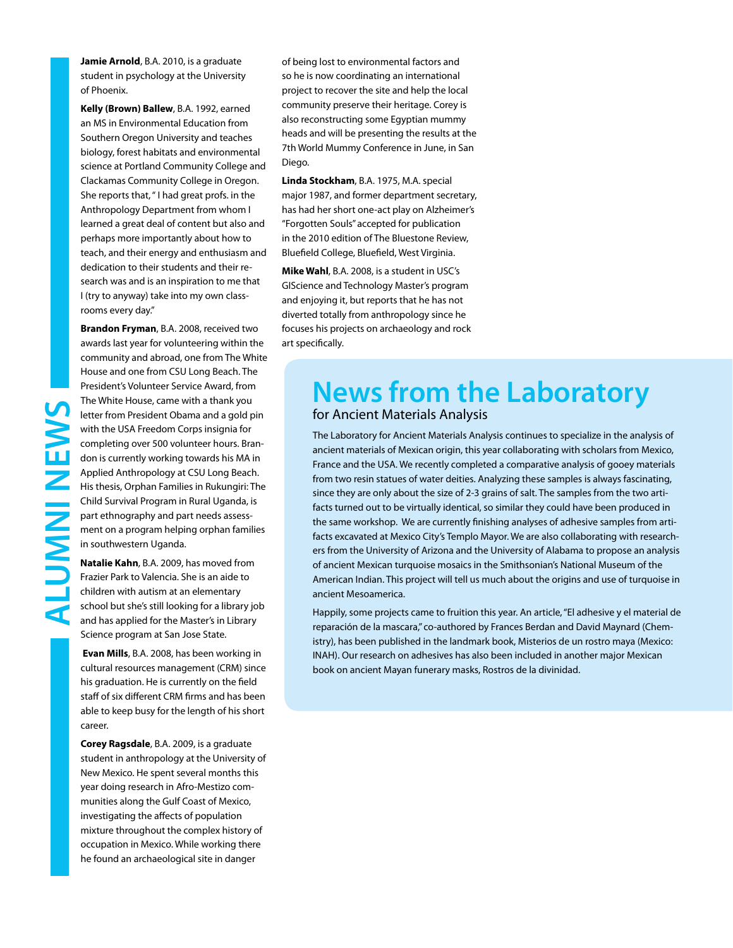**Jamie Arnold**, B.A. 2010, is a graduate student in psychology at the University of Phoenix.

**Kelly (Brown) Ballew**, B.A. 1992, earned an MS in Environmental Education from Southern Oregon University and teaches biology, forest habitats and environmental science at Portland Community College and Clackamas Community College in Oregon. She reports that, " I had great profs. in the Anthropology Department from whom I learned a great deal of content but also and perhaps more importantly about how to teach, and their energy and enthusiasm and dedication to their students and their research was and is an inspiration to me that I (try to anyway) take into my own classrooms every day."

**Brandon Fryman**, B.A. 2008, received two awards last year for volunteering within the community and abroad, one from The White House and one from CSU Long Beach. The President's Volunteer Service Award, from The White House, came with a thank you letter from President Obama and a gold pin with the USA Freedom Corps insignia for completing over 500 volunteer hours. Brandon is currently working towards his MA in Applied Anthropology at CSU Long Beach. His thesis, Orphan Families in Rukungiri: The Child Survival Program in Rural Uganda, is part ethnography and part needs assessment on a program helping orphan families in southwestern Uganda.

**Natalie Kahn**, B.A. 2009, has moved from Frazier Park to Valencia. She is an aide to children with autism at an elementary school but she's still looking for a library job and has applied for the Master's in Library Science program at San Jose State.

 **Evan Mills**, B.A. 2008, has been working in cultural resources management (CRM) since his graduation. He is currently on the field staff of six different CRM firms and has been able to keep busy for the length of his short career.

**Corey Ragsdale**, B.A. 2009, is a graduate student in anthropology at the University of New Mexico. He spent several months this year doing research in Afro-Mestizo communities along the Gulf Coast of Mexico, investigating the affects of population mixture throughout the complex history of occupation in Mexico. While working there he found an archaeological site in danger

of being lost to environmental factors and so he is now coordinating an international project to recover the site and help the local community preserve their heritage. Corey is also reconstructing some Egyptian mummy heads and will be presenting the results at the 7th World Mummy Conference in June, in San Diego.

**Linda Stockham**, B.A. 1975, M.A. special major 1987, and former department secretary, has had her short one-act play on Alzheimer's "Forgotten Souls" accepted for publication in the 2010 edition of The Bluestone Review, Bluefield College, Bluefield, West Virginia.

**Mike Wahl**, B.A. 2008, is a student in USC's GIScience and Technology Master's program and enjoying it, but reports that he has not diverted totally from anthropology since he focuses his projects on archaeology and rock art specifically.

### **News from the Laboratory**  for Ancient Materials Analysis

The Laboratory for Ancient Materials Analysis continues to specialize in the analysis of ancient materials of Mexican origin, this year collaborating with scholars from Mexico, France and the USA. We recently completed a comparative analysis of gooey materials from two resin statues of water deities. Analyzing these samples is always fascinating, since they are only about the size of 2-3 grains of salt. The samples from the two artifacts turned out to be virtually identical, so similar they could have been produced in the same workshop. We are currently finishing analyses of adhesive samples from artifacts excavated at Mexico City's Templo Mayor. We are also collaborating with researchers from the University of Arizona and the University of Alabama to propose an analysis of ancient Mexican turquoise mosaics in the Smithsonian's National Museum of the American Indian. This project will tell us much about the origins and use of turquoise in ancient Mesoamerica.

Happily, some projects came to fruition this year. An article, "El adhesive y el material de reparación de la mascara," co-authored by Frances Berdan and David Maynard (Chemistry), has been published in the landmark book, Misterios de un rostro maya (Mexico: INAH). Our research on adhesives has also been included in another major Mexican book on ancient Mayan funerary masks, Rostros de la divinidad.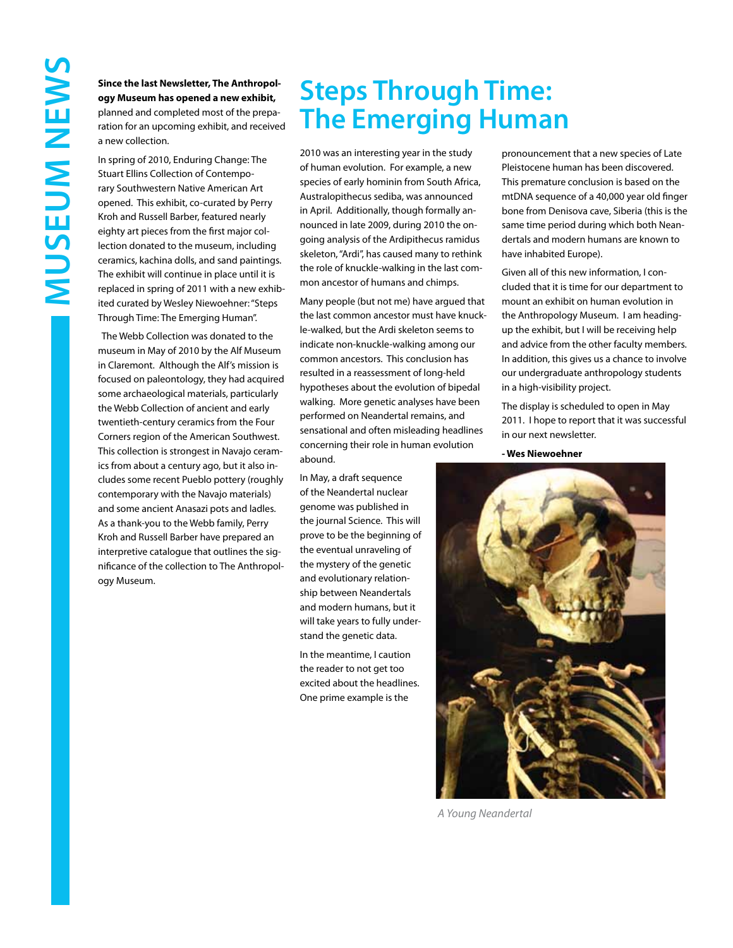**Since the last Newsletter, The Anthropology Museum has opened a new exhibit,**  planned and completed most of the preparation for an upcoming exhibit, and received a new collection.

In spring of 2010, Enduring Change: The Stuart Ellins Collection of Contemporary Southwestern Native American Art opened. This exhibit, co-curated by Perry Kroh and Russell Barber, featured nearly eighty art pieces from the first major collection donated to the museum, including ceramics, kachina dolls, and sand paintings. The exhibit will continue in place until it is replaced in spring of 2011 with a new exhibited curated by Wesley Niewoehner: "Steps Through Time: The Emerging Human".

The Webb Collection was donated to the museum in May of 2010 by the Alf Museum in Claremont. Although the Alf's mission is focused on paleontology, they had acquired some archaeological materials, particularly the Webb Collection of ancient and early twentieth-century ceramics from the Four Corners region of the American Southwest. This collection is strongest in Navajo ceramics from about a century ago, but it also includes some recent Pueblo pottery (roughly contemporary with the Navajo materials) and some ancient Anasazi pots and ladles. As a thank-you to the Webb family, Perry Kroh and Russell Barber have prepared an interpretive catalogue that outlines the significance of the collection to The Anthropology Museum.

### **Steps Through Time: The Emerging Human**

2010 was an interesting year in the study of human evolution. For example, a new species of early hominin from South Africa, Australopithecus sediba, was announced in April. Additionally, though formally announced in late 2009, during 2010 the ongoing analysis of the Ardipithecus ramidus skeleton, "Ardi", has caused many to rethink the role of knuckle-walking in the last common ancestor of humans and chimps.

Many people (but not me) have argued that the last common ancestor must have knuckle-walked, but the Ardi skeleton seems to indicate non-knuckle-walking among our common ancestors. This conclusion has resulted in a reassessment of long-held hypotheses about the evolution of bipedal walking. More genetic analyses have been performed on Neandertal remains, and sensational and often misleading headlines concerning their role in human evolution abound.

In May, a draft sequence of the Neandertal nuclear genome was published in the journal Science. This will prove to be the beginning of the eventual unraveling of the mystery of the genetic and evolutionary relationship between Neandertals and modern humans, but it will take years to fully understand the genetic data.

In the meantime, I caution the reader to not get too excited about the headlines. One prime example is the

pronouncement that a new species of Late Pleistocene human has been discovered. This premature conclusion is based on the mtDNA sequence of a 40,000 year old finger bone from Denisova cave, Siberia (this is the same time period during which both Neandertals and modern humans are known to have inhabited Europe).

Given all of this new information, I concluded that it is time for our department to mount an exhibit on human evolution in the Anthropology Museum. I am headingup the exhibit, but I will be receiving help and advice from the other faculty members. In addition, this gives us a chance to involve our undergraduate anthropology students in a high-visibility project.

The display is scheduled to open in May 2011. I hope to report that it was successful in our next newsletter.

**- Wes Niewoehner**



*A Young Neandertal*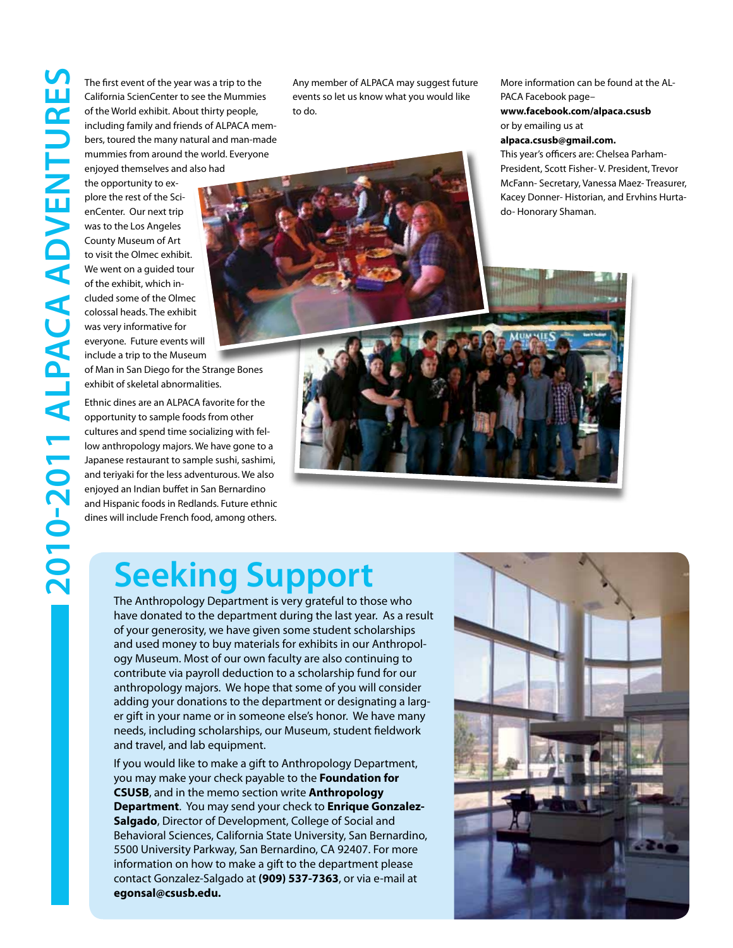The first event of the year was a trip to the<br>California ScienCenter to see the Mummies<br>of the World exhibit. About thirty people,<br>including family and friends of ALPACA me<br>bers, toured the many natural and man-ma<br>mummies California ScienCenter to see the Mummies of the World exhibit. About thirty people, including family and friends of ALPACA members, toured the many natural and man-made mummies from around the world. Everyone enjoyed themselves and also had

the opportunity to explore the rest of the ScienCenter. Our next trip was to the Los Angeles County Museum of Art to visit the Olmec exhibit. We went on a guided tour of the exhibit, which included some of the Olmec colossal heads. The exhibit was very informative for everyone. Future events will include a trip to the Museum

of Man in San Diego for the Strange Bones exhibit of skeletal abnormalities.

Ethnic dines are an ALPACA favorite for the opportunity to sample foods from other cultures and spend time socializing with fellow anthropology majors. We have gone to a Japanese restaurant to sample sushi, sashimi, and teriyaki for the less adventurous. We also enjoyed an Indian buffet in San Bernardino and Hispanic foods in Redlands. Future ethnic dines will include French food, among others. Any member of ALPACA may suggest future events so let us know what you would like to do.

More information can be found at the AL-PACA Facebook page–

**www.facebook.com/alpaca.csusb**  or by emailing us at

#### **alpaca.csusb@gmail.com.**

This year's officers are: Chelsea Parham-President, Scott Fisher- V. President, Trevor McFann- Secretary, Vanessa Maez- Treasurer, Kacey Donner- Historian, and Ervhins Hurtado- Honorary Shaman.



### **Seeking Support**

The Anthropology Department is very grateful to those who have donated to the department during the last year. As a result of your generosity, we have given some student scholarships and used money to buy materials for exhibits in our Anthropology Museum. Most of our own faculty are also continuing to contribute via payroll deduction to a scholarship fund for our anthropology majors. We hope that some of you will consider adding your donations to the department or designating a larger gift in your name or in someone else's honor. We have many needs, including scholarships, our Museum, student fieldwork and travel, and lab equipment.

If you would like to make a gift to Anthropology Department, you may make your check payable to the **Foundation for CSUSB**, and in the memo section write **Anthropology Department**. You may send your check to **Enrique Gonzalez-Salgado**, Director of Development, College of Social and Behavioral Sciences, California State University, San Bernardino, 5500 University Parkway, San Bernardino, CA 92407. For more information on how to make a gift to the department please contact Gonzalez-Salgado at **(909) 537-7363**, or via e-mail at **egonsal@csusb.edu.**

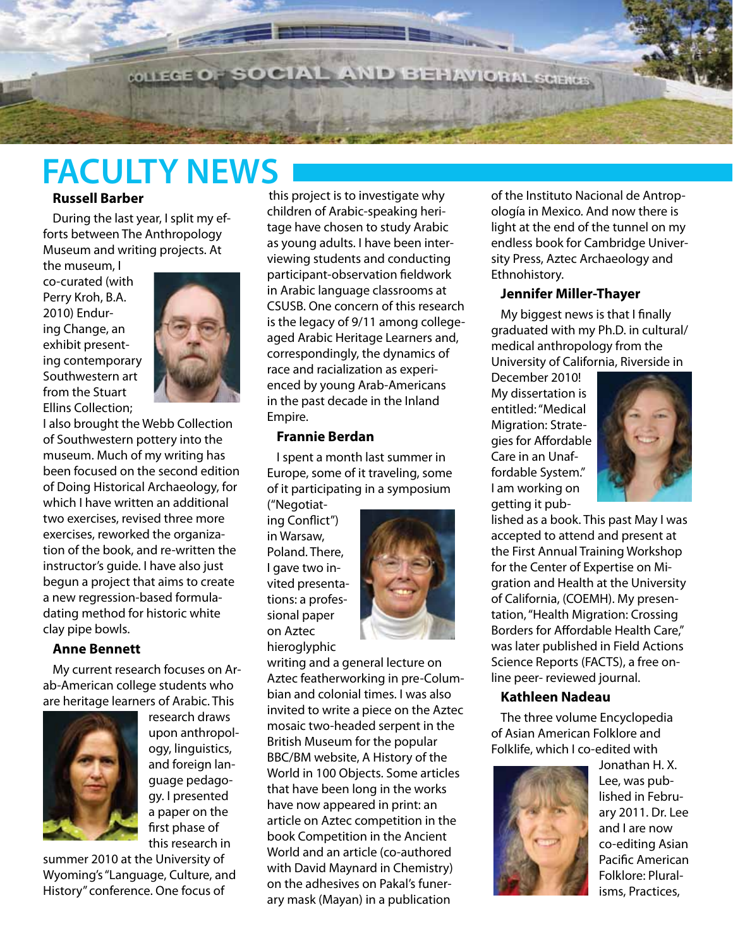**WILEGE OF SOCIAL AND BEHAVIORAL SCIENCES** 

# **FACULTY NEWS**

### **Russell Barber**

During the last year, I split my efforts between The Anthropology Museum and writing projects. At

the museum, I co-curated (with Perry Kroh, B.A. 2010) Enduring Change, an exhibit presenting contemporary Southwestern art from the Stuart Ellins Collection;



 $-200$ 

I also brought the Webb Collection of Southwestern pottery into the museum. Much of my writing has been focused on the second edition of Doing Historical Archaeology, for which I have written an additional two exercises, revised three more exercises, reworked the organization of the book, and re-written the instructor's guide. I have also just begun a project that aims to create a new regression-based formuladating method for historic white clay pipe bowls.

### **Anne Bennett**

My current research focuses on Arab-American college students who are heritage learners of Arabic. This



research draws upon anthropology, linguistics, and foreign language pedagogy. I presented a paper on the first phase of this research in

summer 2010 at the University of Wyoming's "Language, Culture, and History" conference. One focus of

this project is to investigate why children of Arabic-speaking heritage have chosen to study Arabic as young adults. I have been interviewing students and conducting participant-observation fieldwork in Arabic language classrooms at CSUSB. One concern of this research is the legacy of 9/11 among collegeaged Arabic Heritage Learners and, correspondingly, the dynamics of race and racialization as experienced by young Arab-Americans in the past decade in the Inland Empire.

#### **Frannie Berdan**

I spent a month last summer in Europe, some of it traveling, some of it participating in a symposium

("Negotiating Conflict") in Warsaw, Poland. There, I gave two invited presentations: a professional paper on Aztec hieroglyphic



writing and a general lecture on Aztec featherworking in pre-Columbian and colonial times. I was also invited to write a piece on the Aztec mosaic two-headed serpent in the British Museum for the popular BBC/BM website, A History of the World in 100 Objects. Some articles that have been long in the works have now appeared in print: an article on Aztec competition in the book Competition in the Ancient World and an article (co-authored with David Maynard in Chemistry) on the adhesives on Pakal's funerary mask (Mayan) in a publication

of the Instituto Nacional de Antropología in Mexico. And now there is light at the end of the tunnel on my endless book for Cambridge University Press, Aztec Archaeology and Ethnohistory.

### **Jennifer Miller-Thayer**

My biggest news is that I finally graduated with my Ph.D. in cultural/ medical anthropology from the University of California, Riverside in

December 2010! My dissertation is entitled: "Medical Migration: Strategies for Affordable Care in an Unaffordable System." I am working on getting it pub-



lished as a book. This past May I was accepted to attend and present at the First Annual Training Workshop for the Center of Expertise on Migration and Health at the University of California, (COEMH). My presentation, "Health Migration: Crossing Borders for Affordable Health Care," was later published in Field Actions Science Reports (FACTS), a free online peer- reviewed journal.

### **Kathleen Nadeau**

The three volume Encyclopedia of Asian American Folklore and Folklife, which I co-edited with



Jonathan H. X. Lee, was published in February 2011. Dr. Lee and I are now co-editing Asian Pacific American Folklore: Pluralisms, Practices,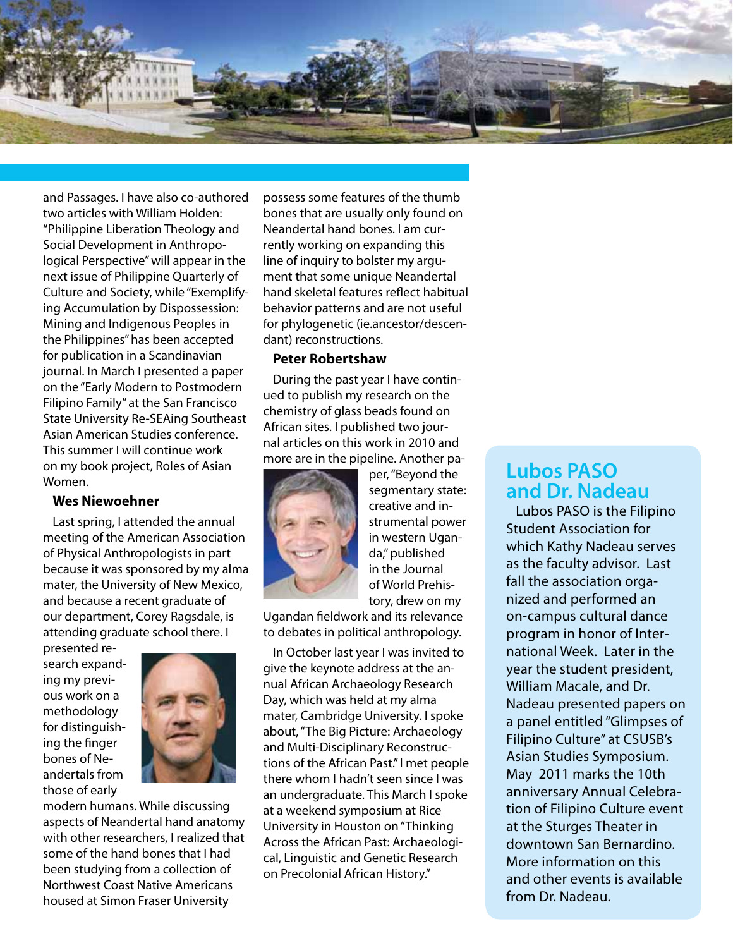

and Passages. I have also co-authored two articles with William Holden: "Philippine Liberation Theology and Social Development in Anthropological Perspective" will appear in the next issue of Philippine Quarterly of Culture and Society, while "Exemplifying Accumulation by Dispossession: Mining and Indigenous Peoples in the Philippines" has been accepted for publication in a Scandinavian journal. In March I presented a paper on the "Early Modern to Postmodern Filipino Family" at the San Francisco State University Re-SEAing Southeast Asian American Studies conference. This summer I will continue work on my book project, Roles of Asian Women.

#### **Wes Niewoehner**

Last spring, I attended the annual meeting of the American Association of Physical Anthropologists in part because it was sponsored by my alma mater, the University of New Mexico, and because a recent graduate of our department, Corey Ragsdale, is attending graduate school there. I

presented research expanding my previous work on a methodology for distinguishing the finger bones of Neandertals from those of early



modern humans. While discussing aspects of Neandertal hand anatomy with other researchers, I realized that some of the hand bones that I had been studying from a collection of Northwest Coast Native Americans housed at Simon Fraser University

possess some features of the thumb bones that are usually only found on Neandertal hand bones. I am currently working on expanding this line of inquiry to bolster my argument that some unique Neandertal hand skeletal features reflect habitual behavior patterns and are not useful for phylogenetic (ie.ancestor/descendant) reconstructions.

#### **Peter Robertshaw**

During the past year I have continued to publish my research on the chemistry of glass beads found on African sites. I published two journal articles on this work in 2010 and more are in the pipeline. Another pa-



per, "Beyond the segmentary state: creative and instrumental power in western Uganda," published in the Journal of World Prehistory, drew on my

Ugandan fieldwork and its relevance to debates in political anthropology.

In October last year I was invited to give the keynote address at the annual African Archaeology Research Day, which was held at my alma mater, Cambridge University. I spoke about, "The Big Picture: Archaeology and Multi-Disciplinary Reconstructions of the African Past." I met people there whom I hadn't seen since I was an undergraduate. This March I spoke at a weekend symposium at Rice University in Houston on "Thinking Across the African Past: Archaeological, Linguistic and Genetic Research on Precolonial African History."

### **Lubos PASO and Dr. Nadeau**

Lubos PASO is the Filipino Student Association for which Kathy Nadeau serves as the faculty advisor. Last fall the association organized and performed an on-campus cultural dance program in honor of International Week. Later in the year the student president, William Macale, and Dr. Nadeau presented papers on a panel entitled "Glimpses of Filipino Culture" at CSUSB's Asian Studies Symposium. May 2011 marks the 10th anniversary Annual Celebration of Filipino Culture event at the Sturges Theater in downtown San Bernardino. More information on this and other events is available from Dr. Nadeau.